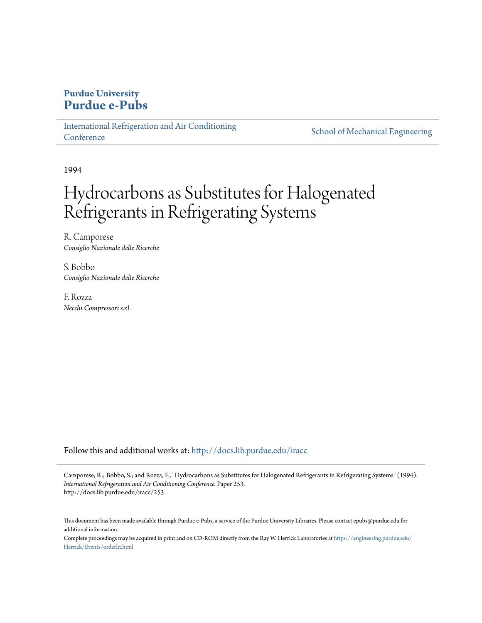## **Purdue University [Purdue e-Pubs](http://docs.lib.purdue.edu?utm_source=docs.lib.purdue.edu%2Firacc%2F253&utm_medium=PDF&utm_campaign=PDFCoverPages)**

[International Refrigeration and Air Conditioning](http://docs.lib.purdue.edu/iracc?utm_source=docs.lib.purdue.edu%2Firacc%2F253&utm_medium=PDF&utm_campaign=PDFCoverPages) **[Conference](http://docs.lib.purdue.edu/iracc?utm_source=docs.lib.purdue.edu%2Firacc%2F253&utm_medium=PDF&utm_campaign=PDFCoverPages)** 

[School of Mechanical Engineering](http://docs.lib.purdue.edu/me?utm_source=docs.lib.purdue.edu%2Firacc%2F253&utm_medium=PDF&utm_campaign=PDFCoverPages)

1994

# Hydrocarbons as Substitutes for Halogenated Refrigerants in Refrigerating Systems

R. Camporese *Consiglio Nazionale delle Ricerche*

S. Bobbo *Consiglio Nazionale delle Ricerche*

F. Rozza *Necchi Compressori s.r.l.*

Follow this and additional works at: [http://docs.lib.purdue.edu/iracc](http://docs.lib.purdue.edu/iracc?utm_source=docs.lib.purdue.edu%2Firacc%2F253&utm_medium=PDF&utm_campaign=PDFCoverPages)

Camporese, R.; Bobbo, S.; and Rozza, F., "Hydrocarbons as Substitutes for Halogenated Refrigerants in Refrigerating Systems" (1994). *International Refrigeration and Air Conditioning Conference.* Paper 253. http://docs.lib.purdue.edu/iracc/253

This document has been made available through Purdue e-Pubs, a service of the Purdue University Libraries. Please contact epubs@purdue.edu for additional information.

Complete proceedings may be acquired in print and on CD-ROM directly from the Ray W. Herrick Laboratories at [https://engineering.purdue.edu/](https://engineering.purdue.edu/Herrick/Events/orderlit.html) [Herrick/Events/orderlit.html](https://engineering.purdue.edu/Herrick/Events/orderlit.html)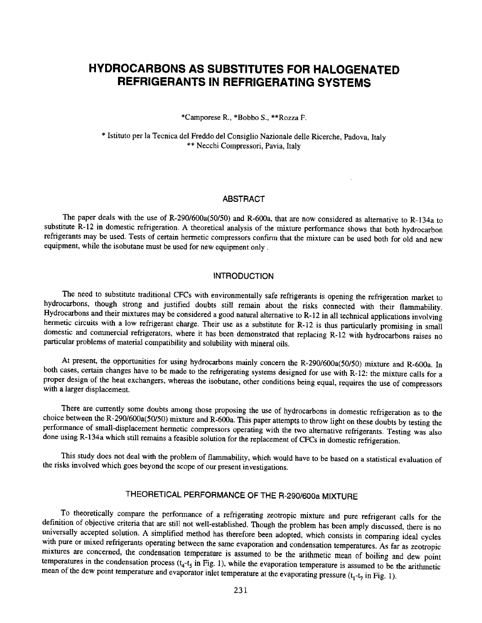# **HYDROCARBONS AS SUBSTITUTES FOR HALOGENATED REFRIGERANTS IN REFRIGERATING SYSTEMS**

\*Camporese R., \*Bobbo S., \*\*Rozza F.

\* Istituto per Ia Tecnica del Freddo del Consiglio Nazionale delle Ricerche, Padova, Italy \*\* Necchi Compressori, Pavia, Italy

## ABSTRACT

The paper deals with the use of R-290/600a(50/50) and R-600a, that are now considered as alternative to R-134a to substitute R-12 in domestic refrigeration. A theoretical analysis of the mixture performance shows that both hydrocarbon refrigerants may be used. Tests of certain hermetic compressors confrrm that the mixture can be used both for old and new equipment, while the isobutane must be used for new equipment only .

## INTRODUCTION

The need to substitute traditional CFCs with environmentally safe refrigerants is opening the refrigeration market to hydrocarbons, though strong and justified doubts still remain about the risks connected with their flammability. Hydrocarbons and their mixtures may be considered a good natural alternative to R-12 in all technical applications involving hermetic circuits with a low refrigerant charge. Their use as a substitute for R-12 is thus particularly promising in small domestic and commercial refrigerators, where it has been demonstrated that replacing R-12 with hydrocarbons raises no particular problems of material compatibility and solubility with mineral oils.

At present, the opportunities for using hydrocarbons mainly concern the R-290/600a(50/50) mixture and R-600a. In both cases, certain changes have to be made to the refrigerating systems designed for use with R-12: the mixture calls for a proper design of the heat exchangers, whereas the isobutane, other conditions being equal, requires the use of compressors with a larger displacement.

There are currently some doubts among those proposing the use of hydrocarbons in domestic refrigeration as to the choice between the R-290/600a(50/50) mixture and R-600a. This paper attempts to throw light on these doubts by testing the performance of small-displacement hermetic compressors operating with the two alternative refrigerants. Testing was also done using R-134a which still remains a feasible solution for the replacement of CFCs in domestic refrigeration.

This study does not deal with the problem of flammability, which would have to be based on a statistical evaluation of the risks involved which goes beyond the scope of our present investigations.

## THEORETICAL PERFORMANCE OF THE R-290/600a MIXTURE

To theoretically compare the performance of a refrigerating zeotropic mixture and pure refrigerant calls for the definition of objective criteria that are still not well-established. Though the problem has been amply discussed, there is no universally accepted solution. A simplified method has therefore been adopted, which consists in comparing ideal cycles with pure or mixed refrigerants operating between the same evaporation and condensation temperatures. As far as zeotropic mixtures are concerned, the condensation temperature is assumed to be the arithmetic mean of boiling and dew point temperatures in the condensation process  $(t_4-t_5)$  in Fig. 1), while the evaporation temperature is assumed to be the arithmetic mean of the dew point temperature and evaporator inlet temperature at the evaporating pressure  $(t_1-t_2)$  in Fig. 1).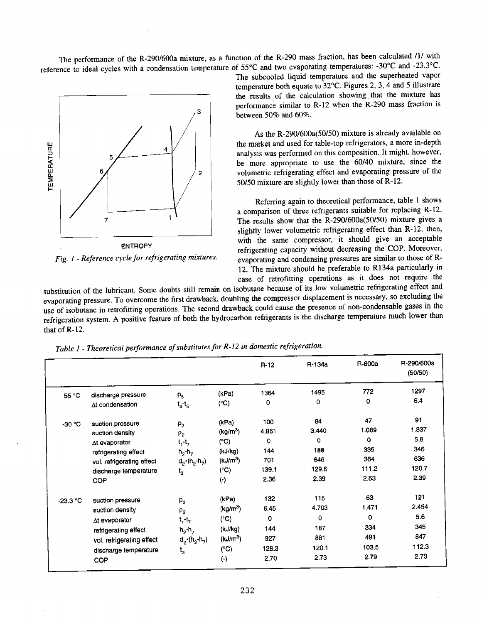The performance of the R-290/600a mixture, as a function of the R-290 mass fraction, has been calculated /1/ with reference to ideal cycles with a condensation temperature of 55°C and two evaporating temperatures: -30°C and -23.3°C.



*Fig. 1- Reference cycle for refrigerating mixtures.* 

The subcooled liquid temperature and the superheated vapor temperature both equate to '32°C. Figures 2, 3, 4 and 5 illustrate the results of the calculation showing that the mixture has performance similar to R-12 when the R-290 mass fraction is between 50% and 60%.

As the R-290/600a(50/50) mixture is already available on the market and used for table-top refrigerators, a more in-depth analysis was performed on this composition. It might, however, be more appropriate to use the 60/40 mixture, since the volumetric refrigerating effect and evaporating pressure of the 50/50 mixture are slightly lower than those of R-12.

Referring again to theoretical performance, table 1 shows a comparison of three refrigerants suitable for replacing R-12. The results show that the R-290/600a(50/50) mixture gives a slightly lower volumetric refrigerating effect than R-12, then, with the same compressor, it should give an acceptable refrigerating capacity without decreasing the COP. Moreover, evaporating and condensing pressures are similar to those of R-12. The mixture should be preferable to Rl34a particularly in case of retrofitting operations as it does not require the

substitution of the lubricant. Some doubts still remain on isobutane because of its low volumetric refrigerating effect and evaporating pressure. To overcome the first drawback, doubling the compressor displacement is necessary, so excluding the use of isobutane in retrofitting operations. The second drawback could cause the presence of non-condensable gases in the refrigeration system. A positive feature of both the hydrocarbon refrigerants is the discharge temperature much lower than that of R-12.

*Table 1* - *Theoretical performance of substitutes for R-12 in domestic refrigeration.* 

|            |                           |                                            |                      | $R-12$ | R-134a   | R-600a | R-290/600a<br>(50/50) |
|------------|---------------------------|--------------------------------------------|----------------------|--------|----------|--------|-----------------------|
| 55 °C      | discharge pressure        | P <sub>5</sub>                             | (kPa)                | 1364   | 1495     | 772    | 1297                  |
|            | At condensation           | $t_4-t_5$                                  | $(^{\circ}C)$        | 0      | 0        | 0      | 6.4                   |
| -30 °C     | suction pressure          | P <sub>2</sub>                             | (kPa)                | 100    | 84       | 47     | 91                    |
|            | suction density           | $\rho_{2}$                                 | (kg/m <sup>3</sup> ) | 4.861  | 3.440    | 1.089  | 1.837                 |
|            | ∆t evaporator             | $t_1 - t_7$                                | $(^{\circ}C)$        | o      | 0        | 0      | 5.8                   |
|            | refrigerating effect      | $h_2 - h_7$                                | (kJ/kg)              | 144    | 188      | 335    | 346                   |
|            | vol. refrigerating effect | $d_2*(h_2-h_7)$                            | (kJ/m <sup>3</sup> ) | 701    | 646      | 364    | 636                   |
|            | discharge temperature     | $\mathfrak{t}_3$                           | $(^{\circ}C)$        | 139.1  | 129.6    | 111.2  | 120.7                 |
|            | <b>COP</b>                |                                            | $(\cdot)$            | 2.36   | 2.39     | 2.53   | 2.39                  |
| $-23.3 °C$ | suction pressure          | P <sub>2</sub>                             | (kPa)                | 132    | 115      | 63     | 121                   |
|            | suction density           | $\rho_{2}$                                 | (kg/m <sup>3</sup> ) | 6.45   | 4.703    | 1.471  | 2.454                 |
|            | At evaporator             | $t_1 - t_7$                                | (°C)                 | 0      | $\Omega$ | o      | 5.6                   |
|            | refrigerating effect      | $h_2$ -h <sub>7</sub>                      | (kJ/kg)              | 144    | 187      | 334    | 345                   |
|            | vol. refrigerating effect | $d_{2}$ *(h <sub>2</sub> -h <sub>7</sub> ) | (kJ/m <sup>3</sup> ) | 927    | 881      | 491    | 847                   |
|            | discharge temperature     | $t_{3}$                                    | $(^{\circ}C)$        | 128.3  | 120.1    | 103.5  | 112.3                 |
|            | <b>COP</b>                |                                            | $(\cdot)$            | 2.70   | 2.73     | 2.79   | 2.73                  |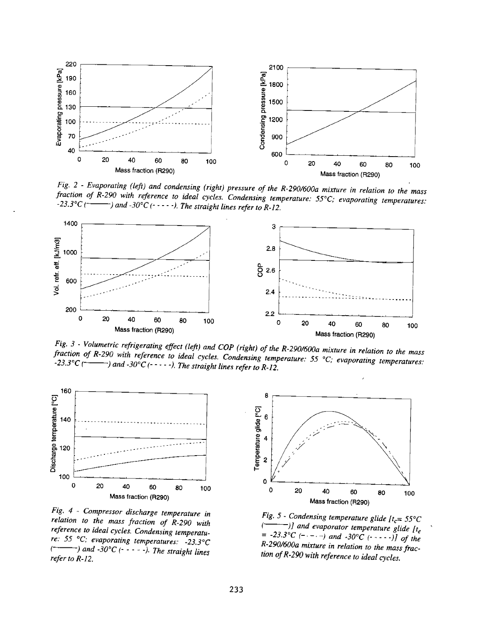

*Fig.* 2 - *Evaporating (left) and condensing (right) pressure of the R-290!600a mixture in relation to the mass fraction of R-290 with reference to ideal cycles. Condensing temperature:* 55°C; *evaporating temperatures:*   $\rightarrow$  and -30°C ( $\cdot$ - $\cdot$ - $\cdot$ ). The straight lines refer to R-12.



*Fig. 3* - *Volumetric refrigerating effect (left) and COP (right) of the R-2901600a mixture in relation to the mass fraction of R-290 with reference to ideal cycles. Condensing temperature:* <sup>55</sup>°C; *evaporating temperatures:*   $\sim$  -23.3°C ( $\sim$   $\sim$   $\sim$ ) and -30°C (-----). The straight lines refer to R-12.



*Fig. 4* - *Compressor discharge temperature* in *relation to the mass fraction of R-290 with reference to ideal cycles. Condensing temperature:* 55 °C; *evaporating temperatures: -23.3°C*   $\rightarrow$  and  $-30^{\circ}C$  (- - - - -). The straight lines *refer to R-12.* 



*Fig.* 5 - *Condensing temperature glide*  $[t_c= 55^{\circ}C$ <br>( $\longrightarrow$ )] and evanorator temperature glide to *(---)]and evaporator temperature glide fte*   $= -23.3$ °C (- - - -) and  $-30$ °C (- - - - -)] of the *R-290/600a mixture in relation to the mass fraction of R-290 with reference to ideal cycles.*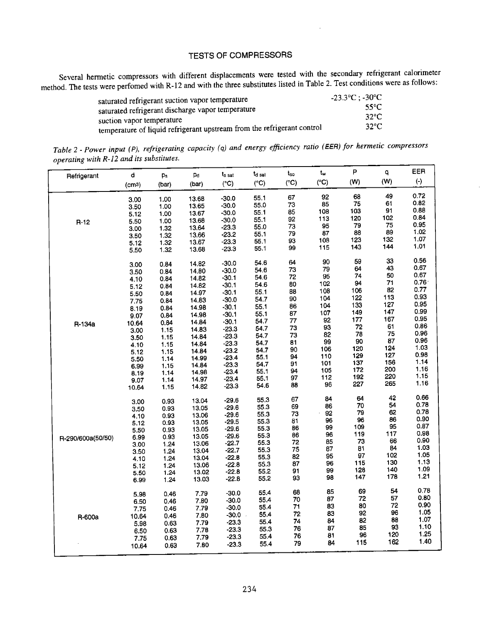## TESTS OF COMPRESSORS

Several hermetic compressors with different displacements were tested with the secondary refrigerant calorimeter method. The tests were perfomed with R-12 and with the three substitutes listed in Table 2. Test conditions were as follows:

| saturated refrigerant suction vapor temperature                         | $-23.3^{\circ}\text{C}$ : $-30^{\circ}\text{C}$ |
|-------------------------------------------------------------------------|-------------------------------------------------|
| saturated refrigerant discharge vapor temperature                       | 55°C.                                           |
| suction vapor temperature                                               | $32^{\circ}$ C                                  |
| temperature of liquid refrigerant upstream from the refrigerant control | $32^{\circ}$ C                                  |

*Table* 2 - *Power input (* P), *refrigerating capacity ( q) and energy efficiency ratio (lEER) for hermetic compressors operating with R-12 and its substitutes.* 

| Refrigerant       | d     | Ps    | Pd    | t <sub>s sat</sub> | t <sub>d sat</sub> | $t_{so}$      | $\mathbf{t}_\mathbf{w}$ | P                | q        | EER               |
|-------------------|-------|-------|-------|--------------------|--------------------|---------------|-------------------------|------------------|----------|-------------------|
|                   | (cma) | (bar) | (bar) | $(^{\circ}C)$      | $(^{\circ}C)$      | $(^{\circ}C)$ | $(^{\circ}C)$           | (W)              | (W)      | $(\cdot)$         |
|                   |       |       |       | $-30.0$            | 55.1               | 67            | 92                      | 68               | 49       | 0.72              |
|                   | 3.00  | 1.00  | 13.68 | $-30.0$            | 55,0               | 73            | 85                      | 75               | 61       | 0.82              |
|                   | 3.50  | 1.00  | 13.65 | $-30.0$            | 55.1               | 85            | 108                     | 103              | 91       | 0.88              |
|                   | 5.12  | 1.00  | 13.67 |                    | 55.1               | 92            | 113                     | 120              | 102      | 0.84              |
| $R-12$            | 5.50  | 1.00  | 13.68 | $-30.0$            | 55.0               | 73            | 95                      | 79               | 75       | 0.95              |
|                   | 3.00  | 1.32  | 13.64 | $-23.3$            | 55.1               | 79            | 87                      | 88               | 89       | 1.02              |
|                   | 3.50  | 1.32  | 13.66 | -23.2              | 55.1               | 93            | 108                     | 123              | 132      | 1.07              |
|                   | 5.12  | 1.32  | 13.67 | $-23.3$            | 55.1               | 99            | 115                     | 143              | 144      | 1.01              |
|                   | 5.50  | 1.32  | 13.68 | $-23.3$            |                    |               |                         |                  |          |                   |
|                   | 3.00  | 0.84  | 14.82 | $-30.0$            | 54.6               | 64            | 90                      | 59               | 33<br>43 | 0.56<br>0.67      |
|                   | 3.50  | 0.84  | 14.80 | $-30.0$            | 54.6               | 73            | 79                      | 64               | 50       | 0.67              |
|                   | 4.10  | 0.84  | 14.82 | $-30.1$            | 54.6               | 72            | 95                      | 74               | 71       | 0.76 <sup>°</sup> |
|                   | 5.12  | 0.84  | 14.82 | $-30.1$            | 54.6               | 80            | 102                     | 94               |          | 0.77              |
|                   | 5.50  | 0.84  | 14.97 | $-30.1$            | 55.1               | 88            | 108                     | 106              | 82       | 0.93              |
|                   | 7.75  | 0.84  | 14.83 | $-30.0$            | 54.7               | 90            | 104                     | 122              | 113      | 0.95              |
|                   | 8.19  | 0.84  | 14.98 | $-30.1$            | 55.1               | 86            | 104                     | 133              | 127      | 0.99              |
|                   | 9.07  | 0.84  | 14.98 | $-30.1$            | 55.1               | 87            | 107                     | 149              | 147      |                   |
| R-134a            | 10.64 | 0.84  | 14.84 | $-30.1$            | 54.7               | 77            | 92                      | 177              | 167      | 0.95              |
|                   | 3.00  | 1.15  | 14.83 | $-23.3$            | 54.7               | 73            | 93                      | 72               | 61       | 0.86              |
|                   | 3.50  | 1.15  | 14.84 | $-23.3$            | 54.7               | 73            | 82                      | 78               | 75       | 0.96<br>0.96      |
|                   | 4.10  | 1.15  | 14.84 | $-23.3$            | 54.7               | 81            | 99                      | 90               | 87       |                   |
|                   | 5.12  | 1.15  | 14.84 | $-23.2$            | 54.7               | 90            | 106                     | 120              | 124      | 1.03              |
|                   | 5.50  | 1.14  | 14.99 | $-23.4$            | 55.1               | 94            | 110                     | 129              | 127      | 0.98<br>1.14      |
|                   | 6.99  | 1.15  | 14.84 | $-23.3$            | 54.7               | 91            | 101                     | 137              | 156      |                   |
|                   | 8.19  | 1.14  | 14.98 | $-23.4$            | 55.1               | 94            | 105                     | 172              | 200      | 1.16<br>1.15      |
|                   | 9.07  | 1.14  | 14.97 | $-23.4$            | 55.1               | 97            | 112                     | 192              | 220      | 1.16              |
|                   | 10.64 | 1.15  | 14.82 | $-23.3$            | 54.6               | 88            | 96                      | 227              | 265      |                   |
|                   | 3.00  | 0.93  | 13.04 | $-29.6$            | 55.3               | 67            | 84                      | 64               | 42       | 0.66              |
|                   | 3.50  | 0.93  | 13.05 | $-29.6$            | 55.3               | 69            | 86                      | 70               | 54       | 0.78              |
|                   | 4.10  | 0.93  | 13.06 | $-29.6$            | 55.3               | 73            | 92                      | 79               | 62       | 0.78              |
|                   | 5.12  | 0.93  | 13.05 | $-29.5$            | 55.3               | 81            | 96                      | 96               | 86       | 0.90              |
|                   | 5.50  | 0.93  | 13.05 | $-29.6$            | 55.3               | 86            | 99                      | 109              | 95       | 0.87              |
| R-290/600a(50/50) | 6.99  | 0.93  | 13.05 | $-29.6$            | 55.3               | 86            | 96                      | 119              | 117      | 0.98              |
|                   | 3.00  | 1.24  | 13.06 | $-22.7$            | 55.3               | 72            | 85                      | 73               | 66       | 0.90              |
|                   | 3.50  | 1.24  | 13.04 | $-22.7$            | 55.3               | 75            | 87                      | 81               | 84       | 1.03              |
|                   | 4.10  | 1.24  | 13.04 | $-22.8$            | 55.3               | 82            | 95                      | $\frac{97}{115}$ | 102      | 1.05              |
|                   | 5.12  | 1.24  | 13.06 | $-22.8$            | 55.3               | 87            | 96                      |                  | 130      | 1.13              |
|                   | 5.50  | 1.24  | 13.02 | $-22.8$            | 55.2               | 91            | 99                      | 128              | 140      | 1.09              |
|                   | 6.99  | 1.24  | 13.03 | $-22.8$            | 55,2               | 93            | 98                      | 147              | 178      | 1.21              |
|                   | 5.98  | 0.46  | 7.79  | $-30.0$            | 55.4               | 68            | 85                      | 69               | 54       | 0.78              |
|                   | 6.50  | 0.46  | 7.80  | $-30.0$            | 55.4               | 70            | 87                      | 72               | 57       | 0.80              |
|                   | 7.75  | 0.46  | 7.79  | $-30.0$            | 55.4               | 71            | 83                      | 80               | 72       | 0.90              |
| R-600a            | 10.64 | 0.46  | 7.80  | $-30.0$            | 55.4               | 72            | 83                      | 92               | 96       | 1.05              |
|                   | 5.98  | 0.63  | 7.79  | $-23.3$            | 55.4               | 74            | 84                      | 82               | 88       | 1.07              |
|                   | 6.50  | 0.63  | 7.78  | $-23.3$            | 55.3               | 76            | 87                      | 85               | 93       | 1.10              |
|                   | 7.75  | 0.63  | 7,79  | $-23.3$            | 55.4               | 76            | 81                      | 96               | 120      | 1.25              |
|                   | 10.64 | 0.63  | 7.80  | -23.3              | 55.4               | 79            | 84                      | 115              | 162      | 1.40              |
|                   |       |       |       |                    |                    |               |                         |                  |          |                   |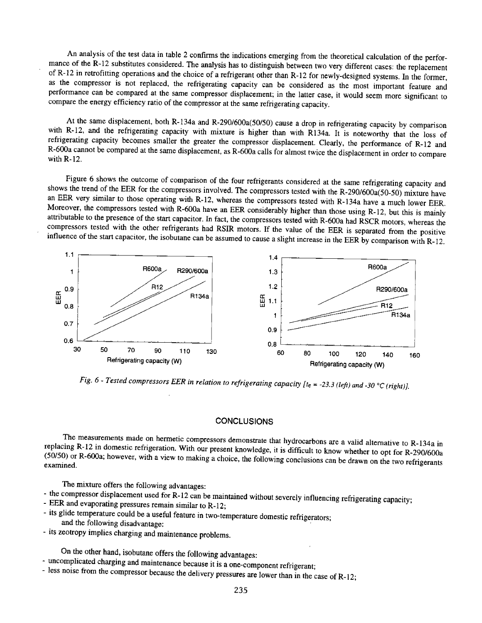An analysis of the test data in table 2 confirms the indications emerging from the theoretical calculation of the performance of the R-12 substitutes considered. The analysis has to distinguish between two very different cases: the replacement of R-12 in retrofitting operations and the choice of a refrigerant other than R-12 for newly-designed systems. In the former, as the compressor is not replaced, the refrigerating capacity can be considered as the most important feature and performance can be compared at the same compressor displacement; in the latter case, it would seem more significant to compare the energy efficiency ratio of the compressor at the same refrigerating capacity.

At the same displacement, both R-134a and R-290/600a(50/50) cause a drop in refrigerating capacity by comparison with R-12, and the refrigerating capacity with mixture is higher than with R134a. It is noteworthy that the loss of refrigerating capacity becomes smaller the greater the compressor displacement. Clearly, the performance of R-12 and R-600a cannot be compared at the same displacement, as R-600a calls for almost twice the displacement in order to compare with R-12.

Figure 6 shows the outcome of comparison of the four refrigerants considered at the same refrigerating capacity and shows the trend of the EER for the compressors involved. The compressors tested with the R-290/600 $a(50-50)$  mixture have an EER very similar to those operating with R-12, whereas the compressors tested with R-134a have a much lower EER. Moreover, the compressors tested with R-600a have an EER considerably higher than those using R-12, but this is mainly attributable to the presence of the start capacitor. In fact, the compressors tested with R-600a had RSCR motors, whereas the compressors tested with the other refrigerants had RSIR motors. If the value of the EER is separated from the positive influence of the start capacitor, the isobutane can be assumed to cause a slight increase in the EER by comparison with R-12.



*Fig. 6 - Tested compressors EER in relation to refrigerating capacity [te = -23.3 (left) and -30 °C (right)].* 

#### **CONCLUSIONS**

The measurements made on hermetic compressors demonstrate that hydrocarbons are a valid alternative to R-134a in replacing R-12 in domestic refrigeration. With our present knowledge, it is difficult to know whether to opt for R-290/600a (50/50) or R-600a; however, with a view to making a choice, the following conclusions can be drawn on the two refrigerants examined.

The mixture offers the following advantages:

- the compressor displacement used for R-12 can be maintained without severely influencing refrigerating capacity;<br>- EEP and avenanting reserve
- EER and evaporating pressures remain similar to R-12;
- its glide temperature could be a useful feature in two-temperature domestic refrigerators; and the following disadvantage:
- its zeotropy implies charging and maintenance problems.

On the other hand, isobutane offers the following advantages:

- uncomplicated charging and maintenance because it is a one-component refrigerant;
- less noise from the compressor because the delivery pressures are lower than in the case of R-12;